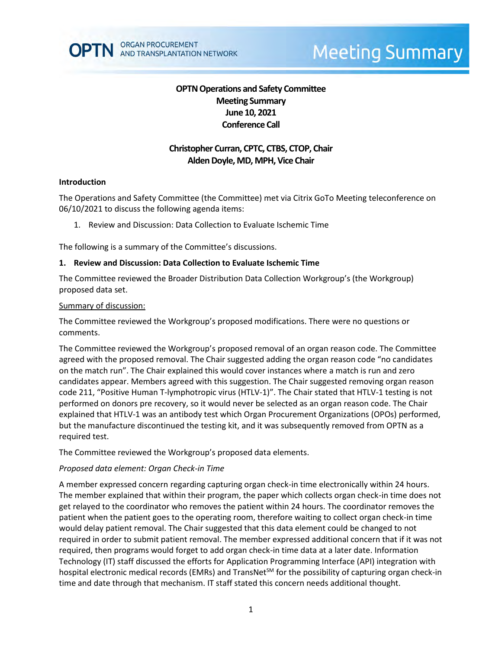

# **Meeting Summary**

# **OPTN Operations and Safety Committee Meeting Summary June 10, 2021 Conference Call**

# **Christopher Curran, CPTC, CTBS, CTOP, Chair Alden Doyle, MD, MPH, Vice Chair**

#### **Introduction**

The Operations and Safety Committee (the Committee) met via Citrix GoTo Meeting teleconference on 06/10/2021 to discuss the following agenda items:

1. Review and Discussion: Data Collection to Evaluate Ischemic Time

The following is a summary of the Committee's discussions.

#### **1. Review and Discussion: Data Collection to Evaluate Ischemic Time**

The Committee reviewed the Broader Distribution Data Collection Workgroup's (the Workgroup) proposed data set.

#### Summary of discussion:

The Committee reviewed the Workgroup's proposed modifications. There were no questions or comments.

The Committee reviewed the Workgroup's proposed removal of an organ reason code. The Committee agreed with the proposed removal. The Chair suggested adding the organ reason code "no candidates on the match run". The Chair explained this would cover instances where a match is run and zero candidates appear. Members agreed with this suggestion. The Chair suggested removing organ reason code 211, "Positive Human T-lymphotropic virus (HTLV-1)". The Chair stated that HTLV-1 testing is not performed on donors pre recovery, so it would never be selected as an organ reason code. The Chair explained that HTLV-1 was an antibody test which Organ Procurement Organizations (OPOs) performed, but the manufacture discontinued the testing kit, and it was subsequently removed from OPTN as a required test.

The Committee reviewed the Workgroup's proposed data elements.

## *Proposed data element: Organ Check-in Time*

A member expressed concern regarding capturing organ check-in time electronically within 24 hours. The member explained that within their program, the paper which collects organ check-in time does not get relayed to the coordinator who removes the patient within 24 hours. The coordinator removes the patient when the patient goes to the operating room, therefore waiting to collect organ check-in time would delay patient removal. The Chair suggested that this data element could be changed to not required in order to submit patient removal. The member expressed additional concern that if it was not required, then programs would forget to add organ check-in time data at a later date. Information Technology (IT) staff discussed the efforts for Application Programming Interface (API) integration with hospital electronic medical records (EMRs) and TransNet<sup>SM</sup> for the possibility of capturing organ check-in time and date through that mechanism. IT staff stated this concern needs additional thought.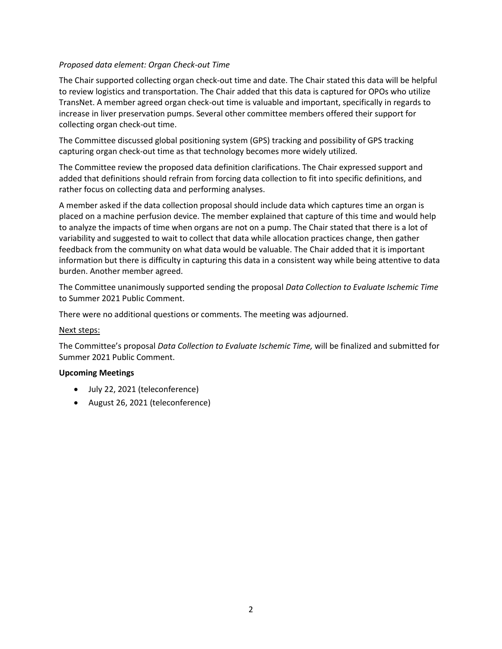## *Proposed data element: Organ Check-out Time*

The Chair supported collecting organ check-out time and date. The Chair stated this data will be helpful to review logistics and transportation. The Chair added that this data is captured for OPOs who utilize TransNet. A member agreed organ check-out time is valuable and important, specifically in regards to increase in liver preservation pumps. Several other committee members offered their support for collecting organ check-out time.

The Committee discussed global positioning system (GPS) tracking and possibility of GPS tracking capturing organ check-out time as that technology becomes more widely utilized.

The Committee review the proposed data definition clarifications. The Chair expressed support and added that definitions should refrain from forcing data collection to fit into specific definitions, and rather focus on collecting data and performing analyses.

A member asked if the data collection proposal should include data which captures time an organ is placed on a machine perfusion device. The member explained that capture of this time and would help to analyze the impacts of time when organs are not on a pump. The Chair stated that there is a lot of variability and suggested to wait to collect that data while allocation practices change, then gather feedback from the community on what data would be valuable. The Chair added that it is important information but there is difficulty in capturing this data in a consistent way while being attentive to data burden. Another member agreed.

The Committee unanimously supported sending the proposal *Data Collection to Evaluate Ischemic Time* to Summer 2021 Public Comment.

There were no additional questions or comments. The meeting was adjourned.

## Next steps:

The Committee's proposal *Data Collection to Evaluate Ischemic Time,* will be finalized and submitted for Summer 2021 Public Comment.

## **Upcoming Meetings**

- July 22, 2021 (teleconference)
- August 26, 2021 (teleconference)